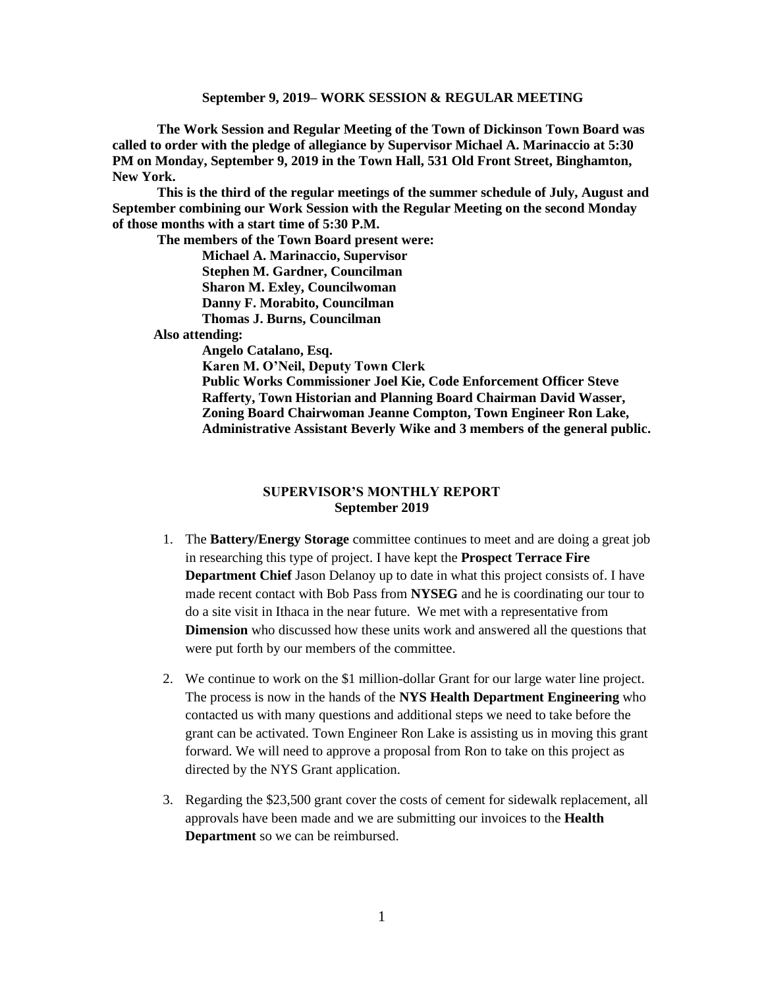**The Work Session and Regular Meeting of the Town of Dickinson Town Board was called to order with the pledge of allegiance by Supervisor Michael A. Marinaccio at 5:30 PM on Monday, September 9, 2019 in the Town Hall, 531 Old Front Street, Binghamton, New York.** 

**This is the third of the regular meetings of the summer schedule of July, August and September combining our Work Session with the Regular Meeting on the second Monday of those months with a start time of 5:30 P.M.**

**The members of the Town Board present were: Michael A. Marinaccio, Supervisor Stephen M. Gardner, Councilman Sharon M. Exley, Councilwoman Danny F. Morabito, Councilman Thomas J. Burns, Councilman**

 **Also attending:**

**Angelo Catalano, Esq. Karen M. O'Neil, Deputy Town Clerk Public Works Commissioner Joel Kie, Code Enforcement Officer Steve Rafferty, Town Historian and Planning Board Chairman David Wasser, Zoning Board Chairwoman Jeanne Compton, Town Engineer Ron Lake, Administrative Assistant Beverly Wike and 3 members of the general public.**

#### **SUPERVISOR'S MONTHLY REPORT September 2019**

- 1. The **Battery/Energy Storage** committee continues to meet and are doing a great job in researching this type of project. I have kept the **Prospect Terrace Fire Department Chief** Jason Delanoy up to date in what this project consists of. I have made recent contact with Bob Pass from **NYSEG** and he is coordinating our tour to do a site visit in Ithaca in the near future. We met with a representative from **Dimension** who discussed how these units work and answered all the questions that were put forth by our members of the committee.
- 2. We continue to work on the \$1 million-dollar Grant for our large water line project. The process is now in the hands of the **NYS Health Department Engineering** who contacted us with many questions and additional steps we need to take before the grant can be activated. Town Engineer Ron Lake is assisting us in moving this grant forward. We will need to approve a proposal from Ron to take on this project as directed by the NYS Grant application.
- 3. Regarding the \$23,500 grant cover the costs of cement for sidewalk replacement, all approvals have been made and we are submitting our invoices to the **Health Department** so we can be reimbursed.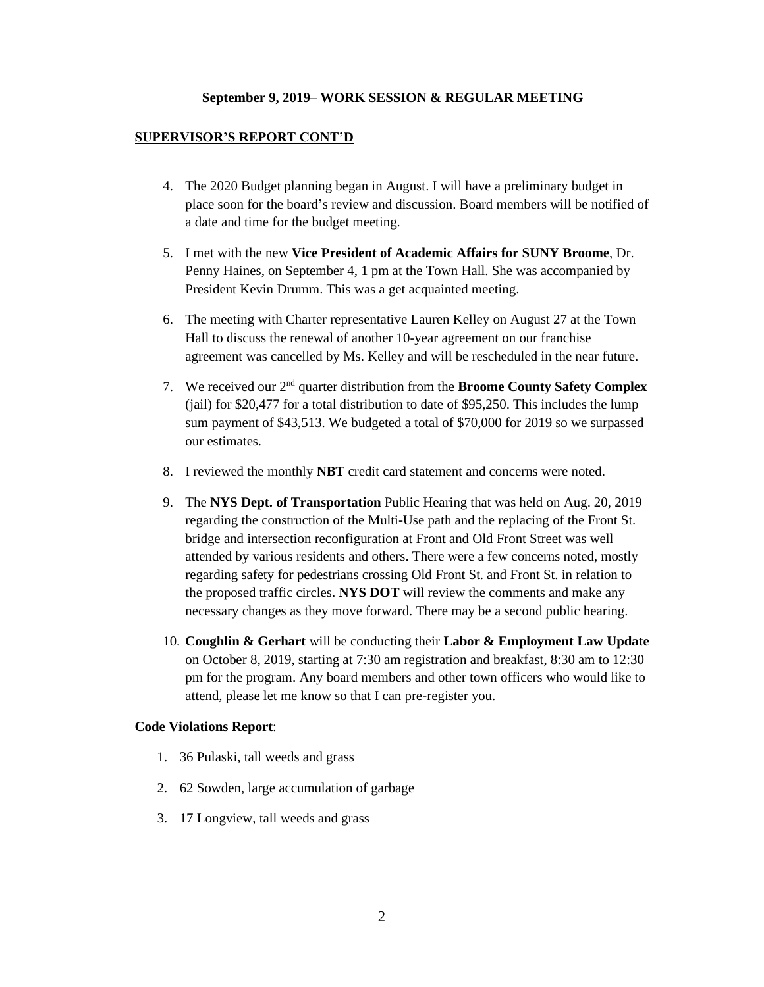#### **SUPERVISOR'S REPORT CONT'D**

- 4. The 2020 Budget planning began in August. I will have a preliminary budget in place soon for the board's review and discussion. Board members will be notified of a date and time for the budget meeting.
- 5. I met with the new **Vice President of Academic Affairs for SUNY Broome**, Dr. Penny Haines, on September 4, 1 pm at the Town Hall. She was accompanied by President Kevin Drumm. This was a get acquainted meeting.
- 6. The meeting with Charter representative Lauren Kelley on August 27 at the Town Hall to discuss the renewal of another 10-year agreement on our franchise agreement was cancelled by Ms. Kelley and will be rescheduled in the near future.
- 7. We received our 2nd quarter distribution from the **Broome County Safety Complex** (jail) for \$20,477 for a total distribution to date of \$95,250. This includes the lump sum payment of \$43,513. We budgeted a total of \$70,000 for 2019 so we surpassed our estimates.
- 8. I reviewed the monthly **NBT** credit card statement and concerns were noted.
- 9. The **NYS Dept. of Transportation** Public Hearing that was held on Aug. 20, 2019 regarding the construction of the Multi-Use path and the replacing of the Front St. bridge and intersection reconfiguration at Front and Old Front Street was well attended by various residents and others. There were a few concerns noted, mostly regarding safety for pedestrians crossing Old Front St. and Front St. in relation to the proposed traffic circles. **NYS DOT** will review the comments and make any necessary changes as they move forward. There may be a second public hearing.
- 10. **Coughlin & Gerhart** will be conducting their **Labor & Employment Law Update** on October 8, 2019, starting at 7:30 am registration and breakfast, 8:30 am to 12:30 pm for the program. Any board members and other town officers who would like to attend, please let me know so that I can pre-register you.

#### **Code Violations Report**:

- 1. 36 Pulaski, tall weeds and grass
- 2. 62 Sowden, large accumulation of garbage
- 3. 17 Longview, tall weeds and grass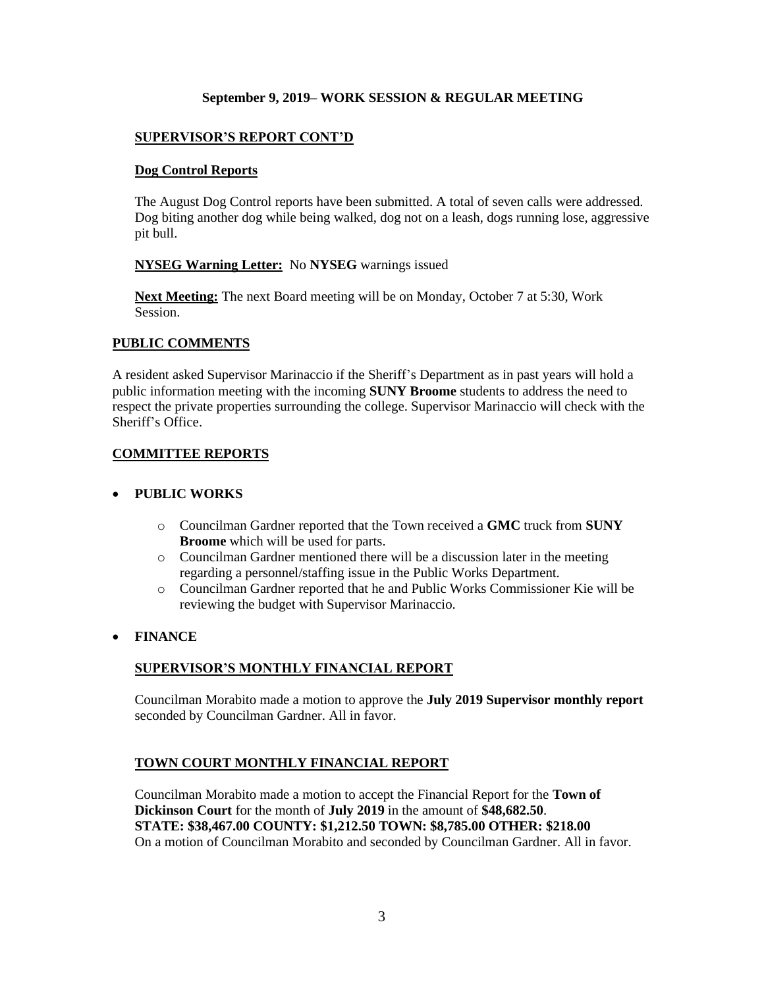## **SUPERVISOR'S REPORT CONT'D**

#### **Dog Control Reports**

The August Dog Control reports have been submitted. A total of seven calls were addressed. Dog biting another dog while being walked, dog not on a leash, dogs running lose, aggressive pit bull.

#### **NYSEG Warning Letter:** No **NYSEG** warnings issued

**Next Meeting:** The next Board meeting will be on Monday, October 7 at 5:30, Work Session.

## **PUBLIC COMMENTS**

A resident asked Supervisor Marinaccio if the Sheriff's Department as in past years will hold a public information meeting with the incoming **SUNY Broome** students to address the need to respect the private properties surrounding the college. Supervisor Marinaccio will check with the Sheriff's Office.

#### **COMMITTEE REPORTS**

#### • **PUBLIC WORKS**

- o Councilman Gardner reported that the Town received a **GMC** truck from **SUNY Broome** which will be used for parts.
- o Councilman Gardner mentioned there will be a discussion later in the meeting regarding a personnel/staffing issue in the Public Works Department.
- o Councilman Gardner reported that he and Public Works Commissioner Kie will be reviewing the budget with Supervisor Marinaccio.

## • **FINANCE**

## **SUPERVISOR'S MONTHLY FINANCIAL REPORT**

Councilman Morabito made a motion to approve the **July 2019 Supervisor monthly report** seconded by Councilman Gardner. All in favor.

#### **TOWN COURT MONTHLY FINANCIAL REPORT**

Councilman Morabito made a motion to accept the Financial Report for the **Town of Dickinson Court** for the month of **July 2019** in the amount of **\$48,682.50**. **STATE: \$38,467.00 COUNTY: \$1,212.50 TOWN: \$8,785.00 OTHER: \$218.00** On a motion of Councilman Morabito and seconded by Councilman Gardner. All in favor.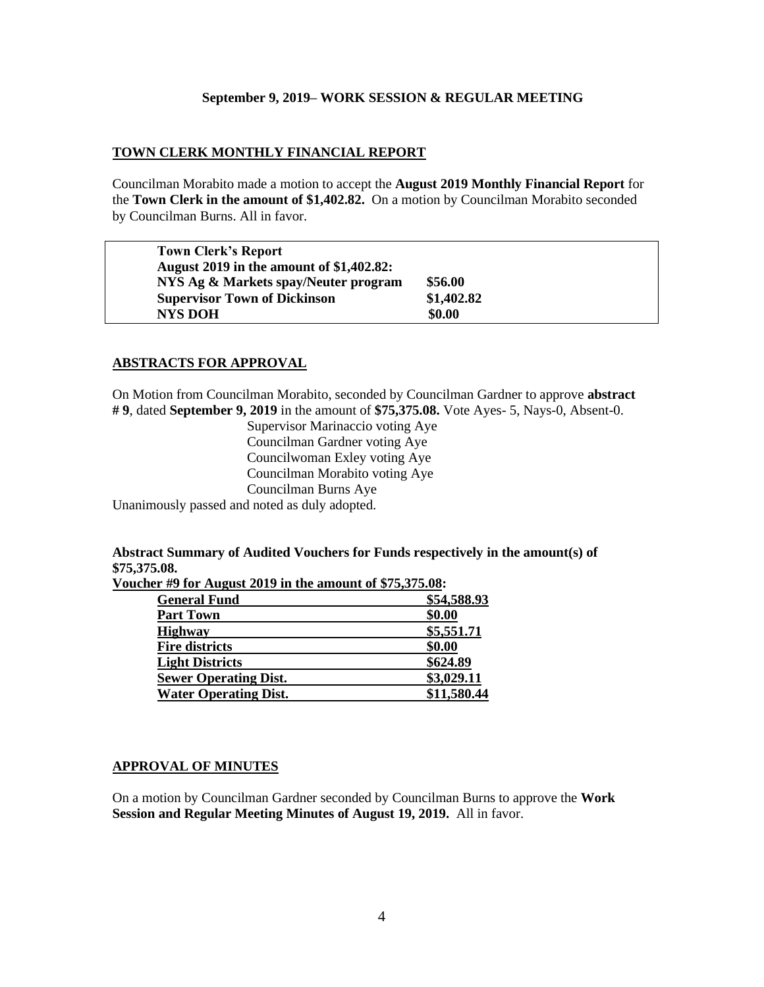### **TOWN CLERK MONTHLY FINANCIAL REPORT**

Councilman Morabito made a motion to accept the **August 2019 Monthly Financial Report** for the **Town Clerk in the amount of \$1,402.82.** On a motion by Councilman Morabito seconded by Councilman Burns. All in favor.

| <b>Town Clerk's Report</b><br>August 2019 in the amount of \$1,402.82: |            |  |
|------------------------------------------------------------------------|------------|--|
| NYS Ag & Markets spay/Neuter program                                   | \$56.00    |  |
| <b>Supervisor Town of Dickinson</b>                                    | \$1,402.82 |  |
| <b>NYS DOH</b>                                                         | \$0.00     |  |

## **ABSTRACTS FOR APPROVAL**

On Motion from Councilman Morabito, seconded by Councilman Gardner to approve **abstract # 9**, dated **September 9, 2019** in the amount of **\$75,375.08.** Vote Ayes- 5, Nays-0, Absent-0.

> Supervisor Marinaccio voting Aye Councilman Gardner voting Aye Councilwoman Exley voting Aye Councilman Morabito voting Aye Councilman Burns Aye

Unanimously passed and noted as duly adopted.

## **Abstract Summary of Audited Vouchers for Funds respectively in the amount(s) of \$75,375.08.**

**Voucher #9 for August 2019 in the amount of \$75,375.08:** 

| <b>General Fund</b>          | \$54,588.93 |
|------------------------------|-------------|
| <b>Part Town</b>             | \$0.00      |
| <b>Highway</b>               | \$5,551.71  |
| <b>Fire districts</b>        | \$0.00      |
| <b>Light Districts</b>       | \$624.89    |
| <b>Sewer Operating Dist.</b> | \$3,029.11  |
| <b>Water Operating Dist.</b> | \$11,580.44 |
|                              |             |

## **APPROVAL OF MINUTES**

On a motion by Councilman Gardner seconded by Councilman Burns to approve the **Work Session and Regular Meeting Minutes of August 19, 2019.** All in favor.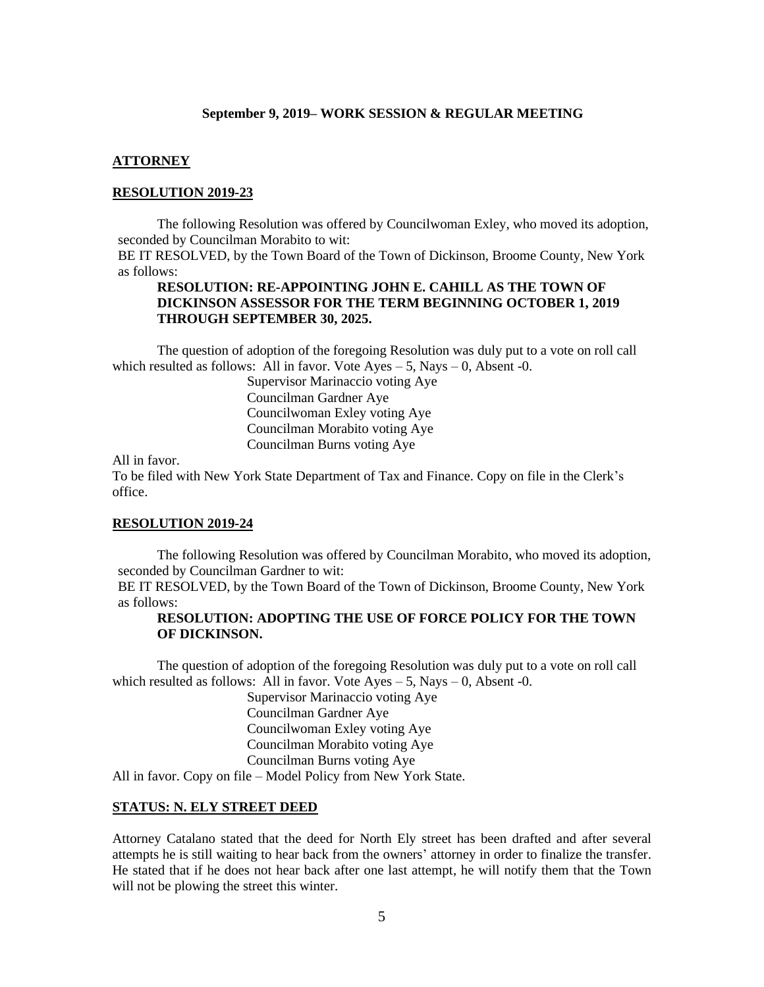#### **ATTORNEY**

## **RESOLUTION 2019-23**

The following Resolution was offered by Councilwoman Exley, who moved its adoption, seconded by Councilman Morabito to wit:

BE IT RESOLVED, by the Town Board of the Town of Dickinson, Broome County, New York as follows:

## **RESOLUTION: RE-APPOINTING JOHN E. CAHILL AS THE TOWN OF DICKINSON ASSESSOR FOR THE TERM BEGINNING OCTOBER 1, 2019 THROUGH SEPTEMBER 30, 2025.**

The question of adoption of the foregoing Resolution was duly put to a vote on roll call which resulted as follows: All in favor. Vote Ayes  $-5$ , Nays  $-0$ , Absent -0.

> Supervisor Marinaccio voting Aye Councilman Gardner Aye Councilwoman Exley voting Aye Councilman Morabito voting Aye Councilman Burns voting Aye

All in favor.

To be filed with New York State Department of Tax and Finance. Copy on file in the Clerk's office.

#### **RESOLUTION 2019-24**

The following Resolution was offered by Councilman Morabito, who moved its adoption, seconded by Councilman Gardner to wit:

BE IT RESOLVED, by the Town Board of the Town of Dickinson, Broome County, New York as follows:

## **RESOLUTION: ADOPTING THE USE OF FORCE POLICY FOR THE TOWN OF DICKINSON.**

The question of adoption of the foregoing Resolution was duly put to a vote on roll call which resulted as follows: All in favor. Vote  $Ayes - 5$ , Nays  $-0$ , Absent -0.

Supervisor Marinaccio voting Aye Councilman Gardner Aye Councilwoman Exley voting Aye Councilman Morabito voting Aye Councilman Burns voting Aye

All in favor. Copy on file – Model Policy from New York State.

#### **STATUS: N. ELY STREET DEED**

Attorney Catalano stated that the deed for North Ely street has been drafted and after several attempts he is still waiting to hear back from the owners' attorney in order to finalize the transfer. He stated that if he does not hear back after one last attempt, he will notify them that the Town will not be plowing the street this winter.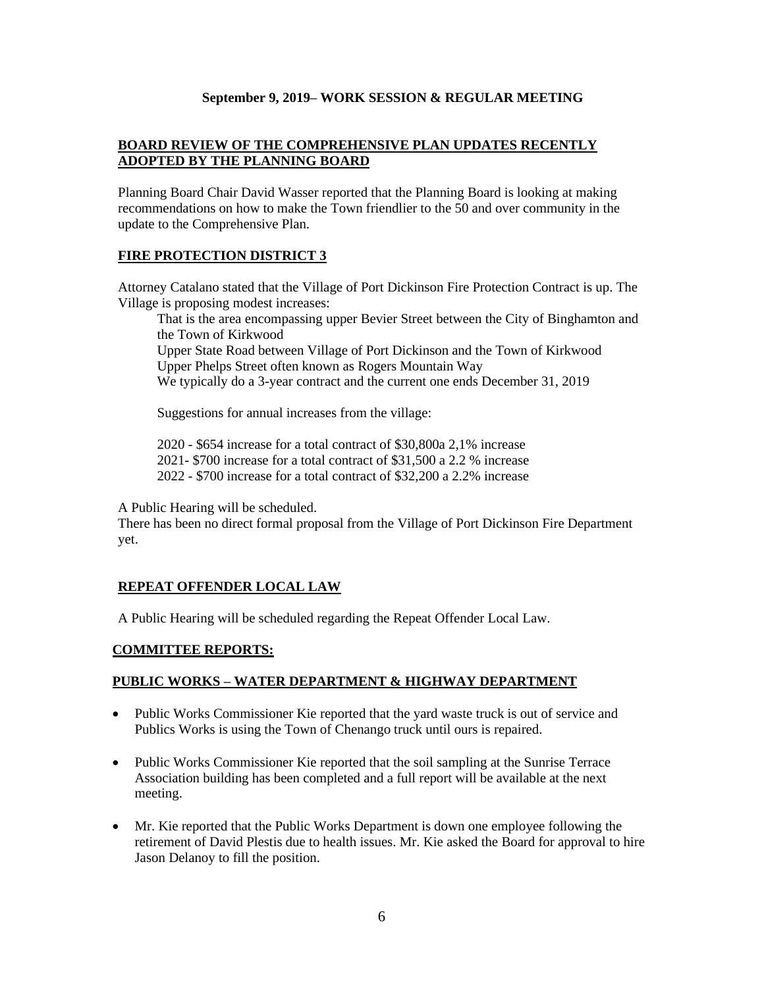# **BOARD REVIEW OF THE COMPREHENSIVE PLAN UPDATES RECENTLY ADOPTED BY THE PLANNING BOARD**

Planning Board Chair David Wasser reported that the Planning Board is looking at making recommendations on how to make the Town friendlier to the 50 and over community in the update to the Comprehensive Plan.

## **FIRE PROTECTION DISTRICT 3**

Attorney Catalano stated that the Village of Port Dickinson Fire Protection Contract is up. The Village is proposing modest increases:

That is the area encompassing upper Bevier Street between the City of Binghamton and the Town of Kirkwood

Upper State Road between Village of Port Dickinson and the Town of Kirkwood Upper Phelps Street often known as Rogers Mountain Way We typically do a 3-year contract and the current one ends December 31, 2019

Suggestions for annual increases from the village:

2020 - \$654 increase for a total contract of \$30,800a 2,1% increase 2021- \$700 increase for a total contract of \$31,500 a 2.2 % increase 2022 - \$700 increase for a total contract of \$32,200 a 2.2% increase

A Public Hearing will be scheduled.

There has been no direct formal proposal from the Village of Port Dickinson Fire Department yet.

# **REPEAT OFFENDER LOCAL LAW**

A Public Hearing will be scheduled regarding the Repeat Offender Local Law.

## **COMMITTEE REPORTS:**

# **PUBLIC WORKS – WATER DEPARTMENT & HIGHWAY DEPARTMENT**

- Public Works Commissioner Kie reported that the yard waste truck is out of service and Publics Works is using the Town of Chenango truck until ours is repaired.
- Public Works Commissioner Kie reported that the soil sampling at the Sunrise Terrace Association building has been completed and a full report will be available at the next meeting.
- Mr. Kie reported that the Public Works Department is down one employee following the retirement of David Plestis due to health issues. Mr. Kie asked the Board for approval to hire Jason Delanoy to fill the position.